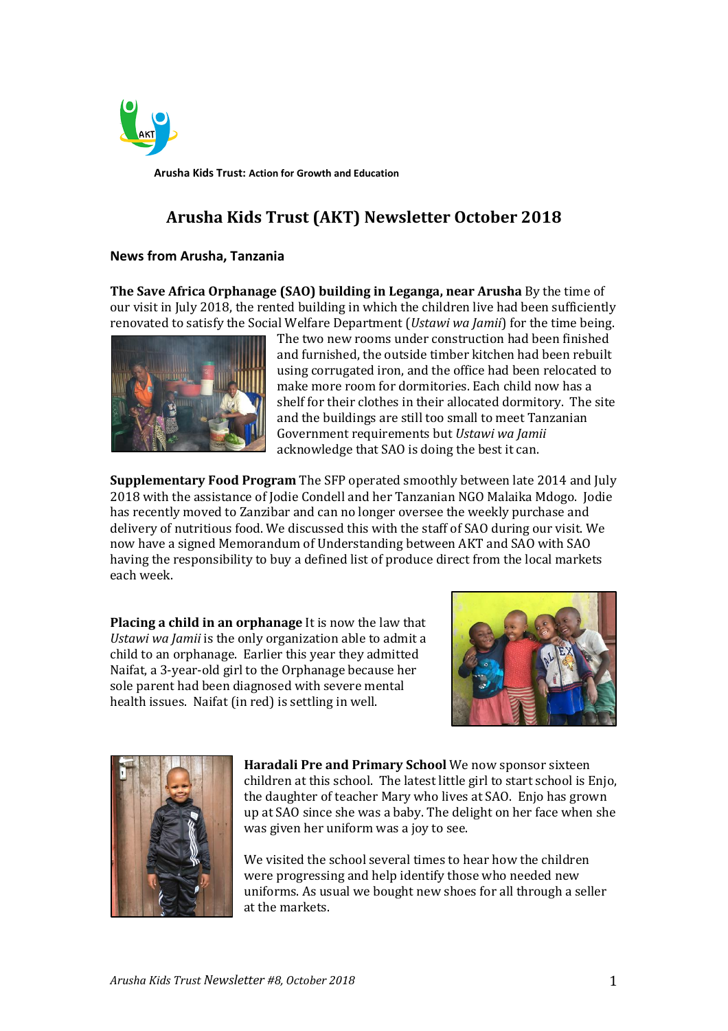

**Arusha Kids Trust: Action for Growth and Education**

# **Arusha Kids Trust (AKT) Newsletter October 2018**

#### **News from Arusha, Tanzania**

**The Save Africa Orphanage (SAO) building in Leganga, near Arusha** By the time of our visit in July 2018, the rented building in which the children live had been sufficiently renovated to satisfy the Social Welfare Department (*Ustawi wa Jamii*) for the time being.



The two new rooms under construction had been finished and furnished, the outside timber kitchen had been rebuilt using corrugated iron, and the office had been relocated to make more room for dormitories. Each child now has a shelf for their clothes in their allocated dormitory. The site and the buildings are still too small to meet Tanzanian Government requirements but *Ustawi wa Jamii* acknowledge that SAO is doing the best it can.

**Supplementary Food Program** The SFP operated smoothly between late 2014 and July 2018 with the assistance of Jodie Condell and her Tanzanian NGO Malaika Mdogo. Jodie has recently moved to Zanzibar and can no longer oversee the weekly purchase and delivery of nutritious food. We discussed this with the staff of SAO during our visit. We now have a signed Memorandum of Understanding between AKT and SAO with SAO having the responsibility to buy a defined list of produce direct from the local markets each week.

**Placing a child in an orphanage** It is now the law that *Ustawi wa Jamii* is the only organization able to admit a child to an orphanage. Earlier this year they admitted Naifat, a 3-year-old girl to the Orphanage because her sole parent had been diagnosed with severe mental health issues. Naifat (in red) is settling in well.





**Haradali Pre and Primary School** We now sponsor sixteen children at this school. The latest little girl to start school is Enjo, the daughter of teacher Mary who lives at SAO. Enjo has grown up at SAO since she was a baby. The delight on her face when she was given her uniform was a joy to see.

We visited the school several times to hear how the children were progressing and help identify those who needed new uniforms. As usual we bought new shoes for all through a seller at the markets.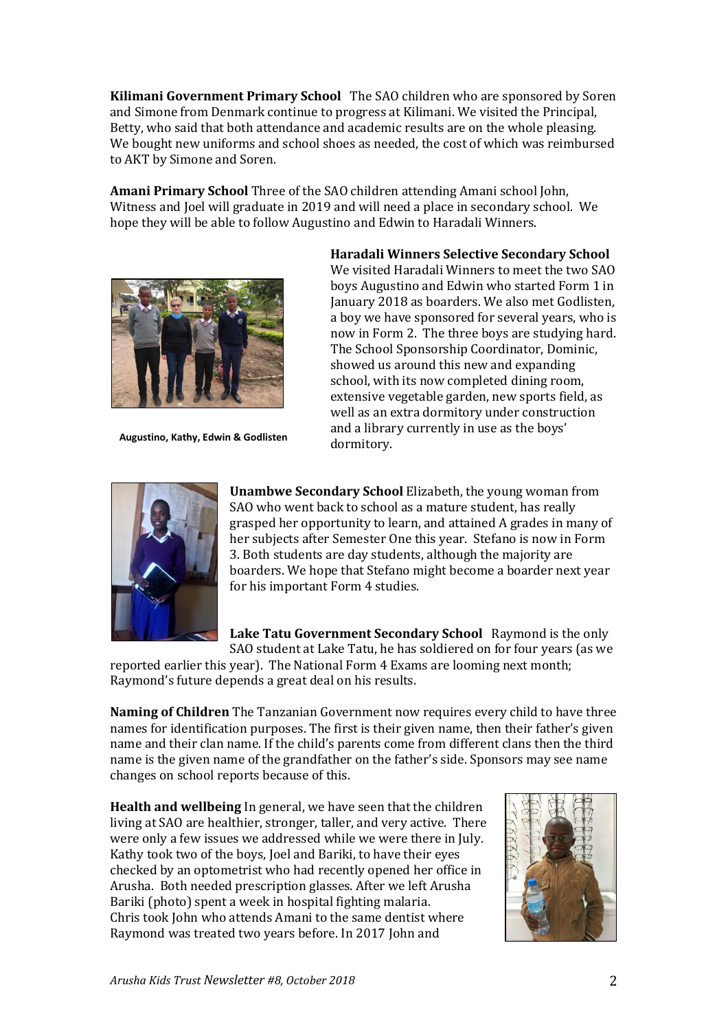**Kilimani Government Primary School** The SAO children who are sponsored by Soren and Simone from Denmark continue to progress at Kilimani. We visited the Principal, Betty, who said that both attendance and academic results are on the whole pleasing. We bought new uniforms and school shoes as needed, the cost of which was reimbursed to AKT by Simone and Soren.

**Amani Primary School** Three of the SAO children attending Amani school John, Witness and Joel will graduate in 2019 and will need a place in secondary school. We hope they will be able to follow Augustino and Edwin to Haradali Winners.



**Augustino, Kathy, Edwin & Godlisten**

**Haradali Winners Selective Secondary School** 

We visited Haradali Winners to meet the two SAO boys Augustino and Edwin who started Form 1 in January 2018 as boarders. We also met Godlisten, a boy we have sponsored for several years, who is now in Form 2. The three boys are studying hard. The School Sponsorship Coordinator, Dominic, showed us around this new and expanding school, with its now completed dining room, extensive vegetable garden, new sports field, as well as an extra dormitory under construction and a library currently in use as the boys' dormitory.



**Unambwe Secondary School** Elizabeth, the young woman from SAO who went back to school as a mature student, has really grasped her opportunity to learn, and attained A grades in many of her subjects after Semester One this year. Stefano is now in Form 3. Both students are day students, although the majority are boarders. We hope that Stefano might become a boarder next year for his important Form 4 studies.

**Lake Tatu Government Secondary School** Raymond is the only SAO student at Lake Tatu, he has soldiered on for four years (as we

reported earlier this year). The National Form 4 Exams are looming next month; Raymond's future depends a great deal on his results.

**Naming of Children** The Tanzanian Government now requires every child to have three names for identification purposes. The first is their given name, then their father's given name and their clan name. If the child's parents come from different clans then the third name is the given name of the grandfather on the father's side. Sponsors may see name changes on school reports because of this.

**Health and wellbeing** In general, we have seen that the children living at SAO are healthier, stronger, taller, and very active. There were only a few issues we addressed while we were there in July. Kathy took two of the boys, Joel and Bariki, to have their eyes checked by an optometrist who had recently opened her office in Arusha. Both needed prescription glasses. After we left Arusha Bariki (photo) spent a week in hospital fighting malaria. Chris took John who attends Amani to the same dentist where Raymond was treated two years before. In 2017 John and

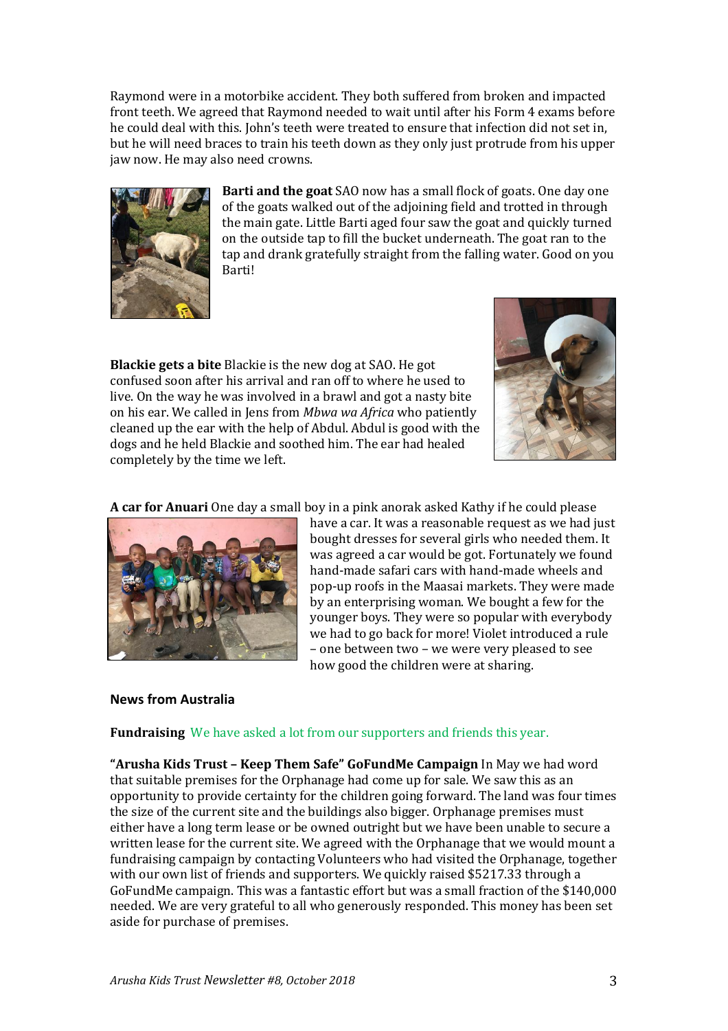Raymond were in a motorbike accident. They both suffered from broken and impacted front teeth. We agreed that Raymond needed to wait until after his Form 4 exams before he could deal with this. John's teeth were treated to ensure that infection did not set in, but he will need braces to train his teeth down as they only just protrude from his upper jaw now. He may also need crowns.



**Barti and the goat** SAO now has a small flock of goats. One day one of the goats walked out of the adjoining field and trotted in through the main gate. Little Barti aged four saw the goat and quickly turned on the outside tap to fill the bucket underneath. The goat ran to the tap and drank gratefully straight from the falling water. Good on you Barti!

**Blackie gets a bite** Blackie is the new dog at SAO. He got confused soon after his arrival and ran off to where he used to live. On the way he was involved in a brawl and got a nasty bite on his ear. We called in Jens from *Mbwa wa Africa* who patiently cleaned up the ear with the help of Abdul. Abdul is good with the dogs and he held Blackie and soothed him. The ear had healed completely by the time we left.



**A car for Anuari** One day a small boy in a pink anorak asked Kathy if he could please



have a car. It was a reasonable request as we had just bought dresses for several girls who needed them. It was agreed a car would be got. Fortunately we found hand-made safari cars with hand-made wheels and pop-up roofs in the Maasai markets. They were made by an enterprising woman. We bought a few for the younger boys. They were so popular with everybody we had to go back for more! Violet introduced a rule – one between two – we were very pleased to see how good the children were at sharing.

## **News from Australia**

#### **Fundraising** We have asked a lot from our supporters and friends this year.

**"Arusha Kids Trust – Keep Them Safe" GoFundMe Campaign** In May we had word that suitable premises for the Orphanage had come up for sale. We saw this as an opportunity to provide certainty for the children going forward. The land was four times the size of the current site and the buildings also bigger. Orphanage premises must either have a long term lease or be owned outright but we have been unable to secure a written lease for the current site. We agreed with the Orphanage that we would mount a fundraising campaign by contacting Volunteers who had visited the Orphanage, together with our own list of friends and supporters. We quickly raised \$5217.33 through a GoFundMe campaign. This was a fantastic effort but was a small fraction of the \$140,000 needed. We are very grateful to all who generously responded. This money has been set aside for purchase of premises.